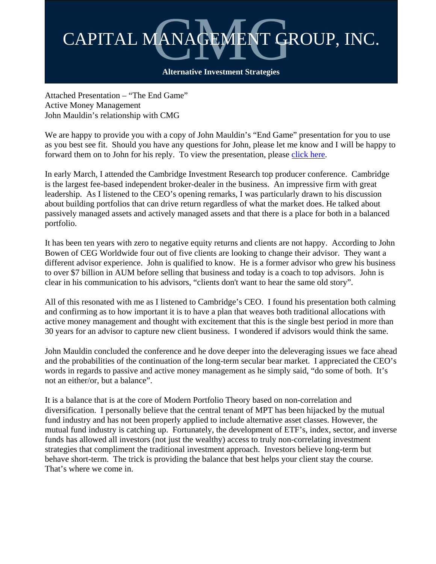

Attached Presentation – "The End Game" Active Money Management John Mauldin's relationship with CMG

We are happy to provide you with a copy of John Mauldin's "End Game" presentation for you to use as you best see fit. Should you have any questions for John, please let me know and I will be happy to forward them on to John for his reply. To view the presentation, please [click here.](http://cmgfunds.net/sys/docs/193/John%20Mauldin_End%20Game.pdf)

In early March, I attended the Cambridge Investment Research top producer conference. Cambridge is the largest fee-based independent broker-dealer in the business. An impressive firm with great leadership. As I listened to the CEO's opening remarks, I was particularly drawn to his discussion about building portfolios that can drive return regardless of what the market does. He talked about passively managed assets and actively managed assets and that there is a place for both in a balanced portfolio.

It has been ten years with zero to negative equity returns and clients are not happy. According to John Bowen of CEG Worldwide four out of five clients are looking to change their advisor. They want a different advisor experience. John is qualified to know. He is a former advisor who grew his business to over \$7 billion in AUM before selling that business and today is a coach to top advisors. John is clear in his communication to his advisors, "clients don't want to hear the same old story".

All of this resonated with me as I listened to Cambridge's CEO. I found his presentation both calming and confirming as to how important it is to have a plan that weaves both traditional allocations with active money management and thought with excitement that this is the single best period in more than 30 years for an advisor to capture new client business. I wondered if advisors would think the same.

John Mauldin concluded the conference and he dove deeper into the deleveraging issues we face ahead and the probabilities of the continuation of the long-term secular bear market. I appreciated the CEO's words in regards to passive and active money management as he simply said, "do some of both. It's not an either/or, but a balance".

It is a balance that is at the core of Modern Portfolio Theory based on non-correlation and diversification. I personally believe that the central tenant of MPT has been hijacked by the mutual fund industry and has not been properly applied to include alternative asset classes. However, the mutual fund industry is catching up. Fortunately, the development of ETF's, index, sector, and inverse funds has allowed all investors (not just the wealthy) access to truly non-correlating investment strategies that compliment the traditional investment approach. Investors believe long-term but behave short-term. The trick is providing the balance that best helps your client stay the course. That's where we come in.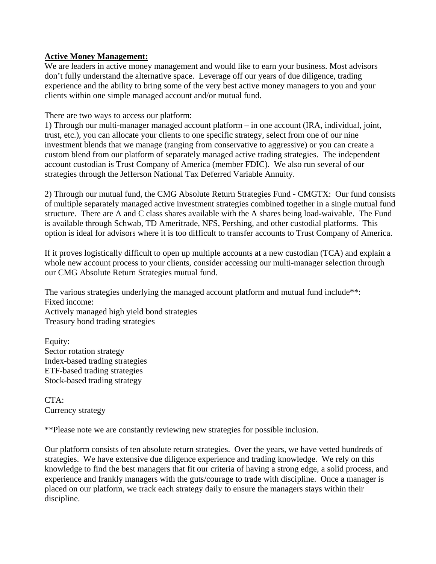## **Active Money Management:**

We are leaders in active money management and would like to earn your business. Most advisors don't fully understand the alternative space. Leverage off our years of due diligence, trading experience and the ability to bring some of the very best active money managers to you and your clients within one simple managed account and/or mutual fund.

There are two ways to access our platform:

1) Through our multi-manager managed account platform – in one account (IRA, individual, joint, trust, etc.), you can allocate your clients to one specific strategy, select from one of our nine investment blends that we manage (ranging from conservative to aggressive) or you can create a custom blend from our platform of separately managed active trading strategies. The independent account custodian is Trust Company of America (member FDIC). We also run several of our strategies through the Jefferson National Tax Deferred Variable Annuity.

2) Through our mutual fund, the CMG Absolute Return Strategies Fund - CMGTX: Our fund consists of multiple separately managed active investment strategies combined together in a single mutual fund structure. There are A and C class shares available with the A shares being load-waivable. The Fund is available through Schwab, TD Ameritrade, NFS, Pershing, and other custodial platforms. This option is ideal for advisors where it is too difficult to transfer accounts to Trust Company of America.

If it proves logistically difficult to open up multiple accounts at a new custodian (TCA) and explain a whole new account process to your clients, consider accessing our multi-manager selection through our CMG Absolute Return Strategies mutual fund.

The various strategies underlying the managed account platform and mutual fund include\*\*: Fixed income: Actively managed high yield bond strategies Treasury bond trading strategies

Equity: Sector rotation strategy Index-based trading strategies ETF-based trading strategies Stock-based trading strategy

CTA: Currency strategy

\*\*Please note we are constantly reviewing new strategies for possible inclusion.

Our platform consists of ten absolute return strategies. Over the years, we have vetted hundreds of strategies. We have extensive due diligence experience and trading knowledge. We rely on this knowledge to find the best managers that fit our criteria of having a strong edge, a solid process, and experience and frankly managers with the guts/courage to trade with discipline. Once a manager is placed on our platform, we track each strategy daily to ensure the managers stays within their discipline.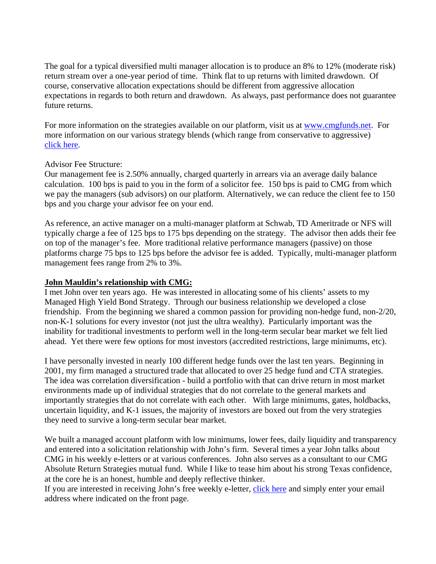The goal for a typical diversified multi manager allocation is to produce an 8% to 12% (moderate risk) return stream over a one-year period of time. Think flat to up returns with limited drawdown. Of course, conservative allocation expectations should be different from aggressive allocation expectations in regards to both return and drawdown. As always, past performance does not guarantee future returns.

For more information on the strategies available on our platform, visit us at www.cmgfunds.net. For more information on our various strategy blends (which range from conservative to aggressive) [click here.](http://cmgfunds.net/smc/default.asp)

## Advisor Fee Structure:

Our management fee is 2.50% annually, charged quarterly in arrears via an average daily balance calculation. 100 bps is paid to you in the form of a solicitor fee. 150 bps is paid to CMG from which we pay the managers (sub advisors) on our platform. Alternatively, we can reduce the client fee to 150 bps and you charge your advisor fee on your end.

As reference, an active manager on a multi-manager platform at Schwab, TD Ameritrade or NFS will typically charge a fee of 125 bps to 175 bps depending on the strategy. The advisor then adds their fee on top of the manager's fee. More traditional relative performance managers (passive) on those platforms charge 75 bps to 125 bps before the advisor fee is added. Typically, multi-manager platform management fees range from 2% to 3%.

## **John Mauldin's relationship with CMG:**

I met John over ten years ago. He was interested in allocating some of his clients' assets to my Managed High Yield Bond Strategy. Through our business relationship we developed a close friendship. From the beginning we shared a common passion for providing non-hedge fund, non-2/20, non-K-1 solutions for every investor (not just the ultra wealthy). Particularly important was the inability for traditional investments to perform well in the long-term secular bear market we felt lied ahead. Yet there were few options for most investors (accredited restrictions, large minimums, etc).

I have personally invested in nearly 100 different hedge funds over the last ten years. Beginning in 2001, my firm managed a structured trade that allocated to over 25 hedge fund and CTA strategies. The idea was correlation diversification - build a portfolio with that can drive return in most market environments made up of individual strategies that do not correlate to the general markets and importantly strategies that do not correlate with each other. With large minimums, gates, holdbacks, uncertain liquidity, and K-1 issues, the majority of investors are boxed out from the very strategies they need to survive a long-term secular bear market.

We built a managed account platform with low minimums, lower fees, daily liquidity and transparency and entered into a solicitation relationship with John's firm. Several times a year John talks about CMG in his weekly e-letters or at various conferences. John also serves as a consultant to our CMG Absolute Return Strategies mutual fund. While I like to tease him about his strong Texas confidence, at the core he is an honest, humble and deeply reflective thinker.

If you are interested in receiving John's free weekly e-letter, [click here](http://www.2000wave.com/gateway.asp) and simply enter your email address where indicated on the front page.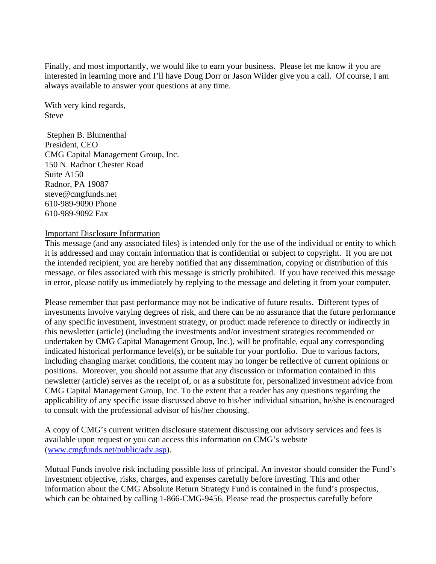Finally, and most importantly, we would like to earn your business. Please let me know if you are interested in learning more and I'll have Doug Dorr or Jason Wilder give you a call. Of course, I am always available to answer your questions at any time.

With very kind regards, **Steve** 

 Stephen B. Blumenthal President, CEO CMG Capital Management Group, Inc. 150 N. Radnor Chester Road Suite A150 Radnor, PA 19087 steve@cmgfunds.net 610-989-9090 Phone 610-989-9092 Fax

## Important Disclosure Information

This message (and any associated files) is intended only for the use of the individual or entity to which it is addressed and may contain information that is confidential or subject to copyright. If you are not the intended recipient, you are hereby notified that any dissemination, copying or distribution of this message, or files associated with this message is strictly prohibited. If you have received this message in error, please notify us immediately by replying to the message and deleting it from your computer.

Please remember that past performance may not be indicative of future results. Different types of investments involve varying degrees of risk, and there can be no assurance that the future performance of any specific investment, investment strategy, or product made reference to directly or indirectly in this newsletter (article) (including the investments and/or investment strategies recommended or undertaken by CMG Capital Management Group, Inc.), will be profitable, equal any corresponding indicated historical performance level(s), or be suitable for your portfolio. Due to various factors, including changing market conditions, the content may no longer be reflective of current opinions or positions. Moreover, you should not assume that any discussion or information contained in this newsletter (article) serves as the receipt of, or as a substitute for, personalized investment advice from CMG Capital Management Group, Inc. To the extent that a reader has any questions regarding the applicability of any specific issue discussed above to his/her individual situation, he/she is encouraged to consult with the professional advisor of his/her choosing.

A copy of CMG's current written disclosure statement discussing our advisory services and fees is available upon request or you can access this information on CMG's website (www.cmgfunds.net/public/adv.asp).

Mutual Funds involve risk including possible loss of principal. An investor should consider the Fund's investment objective, risks, charges, and expenses carefully before investing. This and other information about the CMG Absolute Return Strategy Fund is contained in the fund's prospectus, which can be obtained by calling 1-866-CMG-9456. Please read the prospectus carefully before